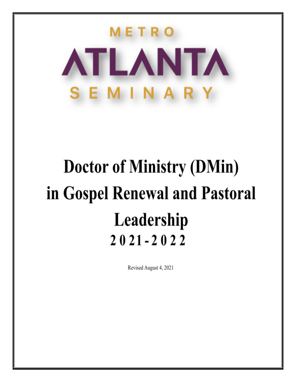# ETRO ATLANTA SEMINARY

## **Doctor of Ministry (DMin)** in Gospel Renewal and Pastoral Leadership  $2021 - 2022$

Revised August 4, 2021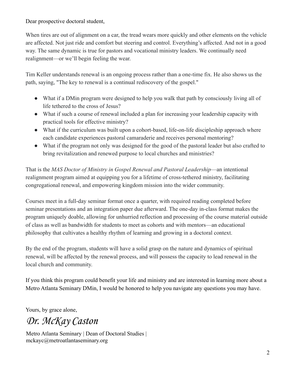Dear prospective doctoral student,

When tires are out of alignment on a car, the tread wears more quickly and other elements on the vehicle are affected. Not just ride and comfort but steering and control. Everything's affected. And not in a good way. The same dynamic is true for pastors and vocational ministry leaders. We continually need realignment—or we'll begin feeling the wear.

Tim Keller understands renewal is an ongoing process rather than a one-time fix. He also shows us the path, saying, "The key to renewal is a continual rediscovery of the gospel."

- What if a DM in program were designed to help you walk that path by consciously living all of life tethered to the cross of Jesus?
- What if such a course of renewal included a plan for increasing your leadership capacity with practical tools for effective ministry?
- What if the curriculum was built upon a cohort-based, life-on-life discipleship approach where each candidate experiences pastoral camaraderie and receives personal mentoring?
- What if the program not only was designed for the good of the pastoral leader but also crafted to bring revitalization and renewed purpose to local churches and ministries?

That is the *MAS Doctor of Ministry in Gospel Renewal and Pastoral Leadership*—an intentional realignment program aimed at equipping you for a lifetime of cross-tethered ministry, facilitating congregational renewal, and empowering kingdom mission into the wider community.

Courses meet in a full-day seminar format once a quarter, with required reading completed before seminar presentations and an integration paper due afterward. The one-day in-class format makes the program uniquely doable, allowing for unhurried reflection and processing of the course material outside of class as well as bandwidth for students to meet as cohorts and with mentors—an educational philosophy that cultivates a healthy rhythm of learning and growing in a doctoral context.

By the end of the program, students will have a solid grasp on the nature and dynamics of spiritual renewal, will be affected by the renewal process, and will possess the capacity to lead renewal in the local church and community.

If you think this program could benefit your life and ministry and are interested in learning more about a Metro Atlanta Seminary DMin, I would be honored to help you navigate any questions you may have.

Yours, by grace alone,

*Dr. McKay Caston*

Metro Atlanta Seminary | Dean of Doctoral Studies | mckayc@metroatlantaseminary.org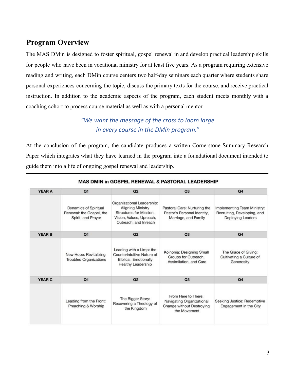## **Program Overview**

The MAS DMin is designed to foster spiritual, gospel renewal in and develop practical leadership skills for people who have been in vocational ministry for at least five years. As a program requiring extensive reading and writing, each DMin course centers two half-day seminars each quarter where students share personal experiences concerning the topic, discuss the primary texts for the course, and receive practical instruction. In addition to the academic aspects of the program, each student meets monthly with a coaching cohort to process course material as well as with a personal mentor.

### *"We want the message of the cross to loom large in every course in the DMin program."*

At the conclusion of the program, the candidate produces a written Cornerstone Summary Research Paper which integrates what they have learned in the program into a foundational document intended to guide them into a life of ongoing gospel renewal and leadership.

| <b>YEAR A</b> | Q1                                                                             | Q2                                                                                                                                     | Q3                                                                                            | Q <sub>4</sub>                                                                         |
|---------------|--------------------------------------------------------------------------------|----------------------------------------------------------------------------------------------------------------------------------------|-----------------------------------------------------------------------------------------------|----------------------------------------------------------------------------------------|
|               | <b>Dynamics of Spiritual</b><br>Renewal: the Gospel, the<br>Spirit, and Prayer | Organizational Leadership:<br><b>Aligning Ministry</b><br>Structures for Mission.<br>Vision, Values, Upreach,<br>Outreach, and Inreach | Pastoral Care: Nurturing the<br>Pastor's Personal Identity,<br>Marriage, and Family           | Implementing Team Ministry:<br>Recruiting, Developing, and<br><b>Deploying Leaders</b> |
| <b>YEAR B</b> | Q1                                                                             | Q2                                                                                                                                     | Q <sub>3</sub>                                                                                | Q <sub>4</sub>                                                                         |
|               | New Hope: Revitalizing<br><b>Troubled Organizations</b>                        | Leading with a Limp: the<br>Counterintuitive Nature of<br><b>Biblical, Emotionally</b><br><b>Healthy Leadership</b>                    | Koinonia: Designing Small<br>Groups for Outreach,<br>Assimilation, and Care                   | The Grace of Giving:<br>Cultivating a Culture of<br>Generosity                         |
| <b>YEAR C</b> | Q1                                                                             | Q2                                                                                                                                     | Q3                                                                                            | Q <sub>4</sub>                                                                         |
|               | Leading from the Front:<br>Preaching & Worship                                 | The Bigger Story:<br>Recovering a Theology of<br>the Kingdom                                                                           | From Here to There:<br>Navigating Organizational<br>Change without Destroying<br>the Movement | Seeking Justice: Redemptive<br>Engagement in the City                                  |

#### MAS DMIN in GOSPEL RENEWAL & PASTORAL LEADERSHIP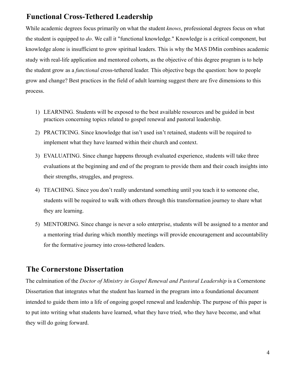## **Functional Cross-Tethered Leadership**

While academic degrees focus primarily on what the student *knows*, professional degrees focus on what the student is equipped to *do*. We call it "functional knowledge." Knowledge is a critical component, but knowledge alone is insufficient to grow spiritual leaders. This is why the MAS DMin combines academic study with real-life application and mentored cohorts, as the objective of this degree program is to help the student grow as a *functional* cross-tethered leader. This objective begs the question: how to people grow and change? Best practices in the field of adult learning suggest there are five dimensions to this process.

- 1) LEARNING. Students will be exposed to the best available resources and be guided in best practices concerning topics related to gospel renewal and pastoral leadership.
- 2) PRACTICING. Since knowledge that isn't used isn't retained, students will be required to implement what they have learned within their church and context.
- 3) EVALUATING. Since change happens through evaluated experience, students will take three evaluations at the beginning and end of the program to provide them and their coach insights into their strengths, struggles, and progress.
- 4) TEACHING. Since you don't really understand something until you teach it to someone else, students will be required to walk with others through this transformation journey to share what they are learning.
- 5) MENTORING. Since change is never a solo enterprise, students will be assigned to a mentor and a mentoring triad during which monthly meetings will provide encouragement and accountability for the formative journey into cross-tethered leaders.

#### **The Cornerstone Dissertation**

The culmination of the *Doctor of Ministry in Gospel Renewal and Pastoral Leadership* is a Cornerstone Dissertation that integrates what the student has learned in the program into a foundational document intended to guide them into a life of ongoing gospel renewal and leadership. The purpose of this paper is to put into writing what students have learned, what they have tried, who they have become, and what they will do going forward.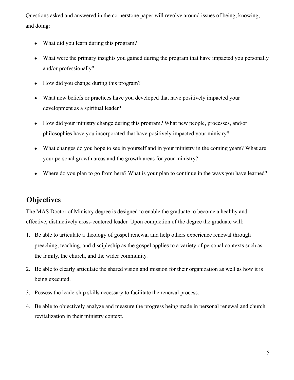Questions asked and answered in the cornerstone paper will revolve around issues of being, knowing, and doing:

- What did you learn during this program?
- What were the primary insights you gained during the program that have impacted you personally and/or professionally?
- How did you change during this program?
- What new beliefs or practices have you developed that have positively impacted your development as a spiritual leader?
- How did your ministry change during this program? What new people, processes, and/or philosophies have you incorporated that have positively impacted your ministry?
- What changes do you hope to see in yourself and in your ministry in the coming years? What are your personal growth areas and the growth areas for your ministry?
- Where do you plan to go from here? What is your plan to continue in the ways you have learned?

## **Objectives**

The MAS Doctor of Ministry degree is designed to enable the graduate to become a healthy and effective, distinctively cross-centered leader. Upon completion of the degree the graduate will:

- 1. Be able to articulate a theology of gospel renewal and help others experience renewal through preaching, teaching, and discipleship as the gospel applies to a variety of personal contexts such as the family, the church, and the wider community.
- 2. Be able to clearly articulate the shared vision and mission for their organization as well as how it is being executed.
- 3. Possess the leadership skills necessary to facilitate the renewal process.
- 4. Be able to objectively analyze and measure the progress being made in personal renewal and church revitalization in their ministry context.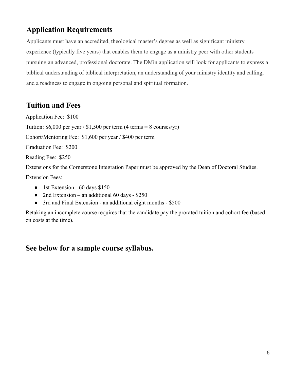## **Application Requirements**

Applicants must have an accredited, theological master's degree as well as significant ministry experience (typically five years) that enables them to engage as a ministry peer with other students pursuing an advanced, professional doctorate. The DMin application will look for applicants to express a biblical understanding of biblical interpretation, an understanding of your ministry identity and calling, and a readiness to engage in ongoing personal and spiritual formation.

## **Tuition and Fees**

Application Fee: \$100 Tuition:  $$6,000$  per year /  $$1,500$  per term (4 terms = 8 courses/yr) Cohort/Mentoring Fee: \$1,600 per year / \$400 per term Graduation Fee: \$200 Reading Fee: \$250 Extensions for the Cornerstone Integration Paper must be approved by the Dean of Doctoral Studies. Extension Fees:

- 1st Extension 60 days \$150
- 2nd Extension an additional 60 days \$250
- 3rd and Final Extension an additional eight months \$500

Retaking an incomplete course requires that the candidate pay the prorated tuition and cohort fee (based on costs at the time).

## **See below for a sample course syllabus.**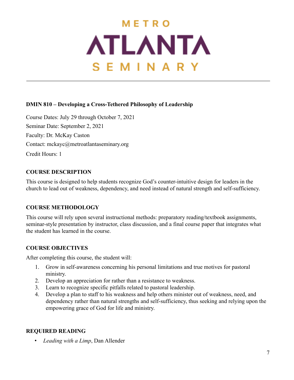## METRO **ATLANTA** SEMINARY

#### **DMIN 810 – Developing a Cross-Tethered Philosophy of Leadership**

Course Dates: July 29 through October 7, 2021 Seminar Date: September 2, 2021 Faculty: Dr. McKay Caston Contact: mckayc@metroatlantaseminary.org Credit Hours: 1

#### **COURSE DESCRIPTION**

This course is designed to help students recognize God's counter-intuitive design for leaders in the church to lead out of weakness, dependency, and need instead of natural strength and self-sufficiency.

#### **COURSE METHODOLOGY**

This course will rely upon several instructional methods: preparatory reading/textbook assignments, seminar-style presentation by instructor, class discussion, and a final course paper that integrates what the student has learned in the course.

#### **COURSE OBJECTIVES**

After completing this course, the student will:

- 1. Grow in self-awareness concerning his personal limitations and true motives for pastoral ministry.
- 2. Develop an appreciation for rather than a resistance to weakness.
- 3. Learn to recognize specific pitfalls related to pastoral leadership.
- 4. Develop a plan to staff to his weakness and help others minister out of weakness, need, and dependency rather than natural strengths and self-sufficiency, thus seeking and relying upon the empowering grace of God for life and ministry.

#### **REQUIRED READING**

• *Leading with a Limp*, Dan Allender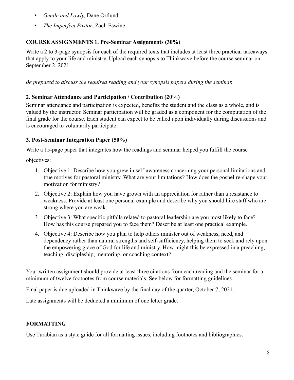- *Gentle and Lowly,* Dane Ortlund
- *The Imperfect Pastor*, Zach Eswine

#### **COURSE ASSIGNMENTS 1. Pre-Seminar Assignments (30%)**

Write a 2 to 3-page synopsis for each of the required texts that includes at least three practical takeaways that apply to your life and ministry. Upload each synopsis to Thinkwave before the course seminar on September 2, 2021.

*Be prepared to discuss the required reading and your synopsis papers during the seminar.*

#### **2. Seminar Attendance and Participation / Contribution (20%)**

Seminar attendance and participation is expected, benefits the student and the class as a whole, and is valued by the instructor. Seminar participation will be graded as a component for the computation of the final grade for the course. Each student can expect to be called upon individually during discussions and is encouraged to voluntarily participate.

#### **3. Post-Seminar Integration Paper (50%)**

Write a 15-page paper that integrates how the readings and seminar helped you fulfill the course

objectives:

- 1. Objective 1: Describe how you grew in self-awareness concerning your personal limitations and true motives for pastoral ministry. What are your limitations? How does the gospel re-shape your motivation for ministry?
- 2. Objective 2: Explain how you have grown with an appreciation for rather than a resistance to weakness. Provide at least one personal example and describe why you should hire staff who are strong where you are weak.
- 3. Objective 3: What specific pitfalls related to pastoral leadership are you most likely to face? How has this course prepared you to face them? Describe at least one practical example.
- 4. Objective 4: Describe how you plan to help others minister out of weakness, need, and dependency rather than natural strengths and self-sufficiency, helping them to seek and rely upon the empowering grace of God for life and ministry. How might this be expressed in a preaching, teaching, discipleship, mentoring, or coaching context?

Your written assignment should provide at least three citations from each reading and the seminar for a minimum of twelve footnotes from course materials. See below for formatting guidelines.

Final paper is due uploaded in Thinkwave by the final day of the quarter, October 7, 2021.

Late assignments will be deducted a minimum of one letter grade.

#### **FORMATTING**

Use Turabian as a style guide for all formatting issues, including footnotes and bibliographies.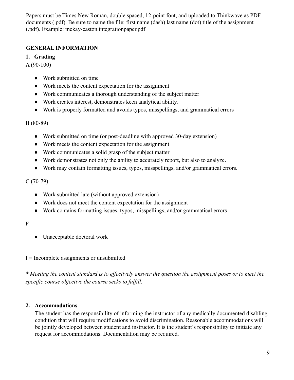Papers must be Times New Roman, double spaced, 12-point font, and uploaded to Thinkwave as PDF documents (.pdf). Be sure to name the file: first name (dash) last name (dot) title of the assignment (.pdf). Example: mckay-caston.integrationpaper.pdf

#### **GENERAL INFORMATION**

#### **1. Grading**

A (90-100)

- Work submitted on time
- Work meets the content expectation for the assignment
- Work communicates a thorough understanding of the subject matter
- Work creates interest, demonstrates keen analytical ability.
- Work is properly formatted and avoids typos, misspellings, and grammatical errors

B (80-89)

- Work submitted on time (or post-deadline with approved 30-day extension)
- Work meets the content expectation for the assignment
- Work communicates a solid grasp of the subject matter
- Work demonstrates not only the ability to accurately report, but also to analyze.
- Work may contain formatting issues, typos, misspellings, and/or grammatical errors.

#### $C(70-79)$

- Work submitted late (without approved extension)
- Work does not meet the content expectation for the assignment
- Work contains formatting issues, typos, misspellings, and/or grammatical errors

#### F

- Unacceptable doctoral work
- $I = Incomplete assignments or unsubmitted$

*\* Meeting the content standard is to effectively answer the question the assignment poses or to meet the specific course objective the course seeks to fulfill.*

#### **2. Accommodations**

The student has the responsibility of informing the instructor of any medically documented disabling condition that will require modifications to avoid discrimination. Reasonable accommodations will be jointly developed between student and instructor. It is the student's responsibility to initiate any request for accommodations. Documentation may be required.